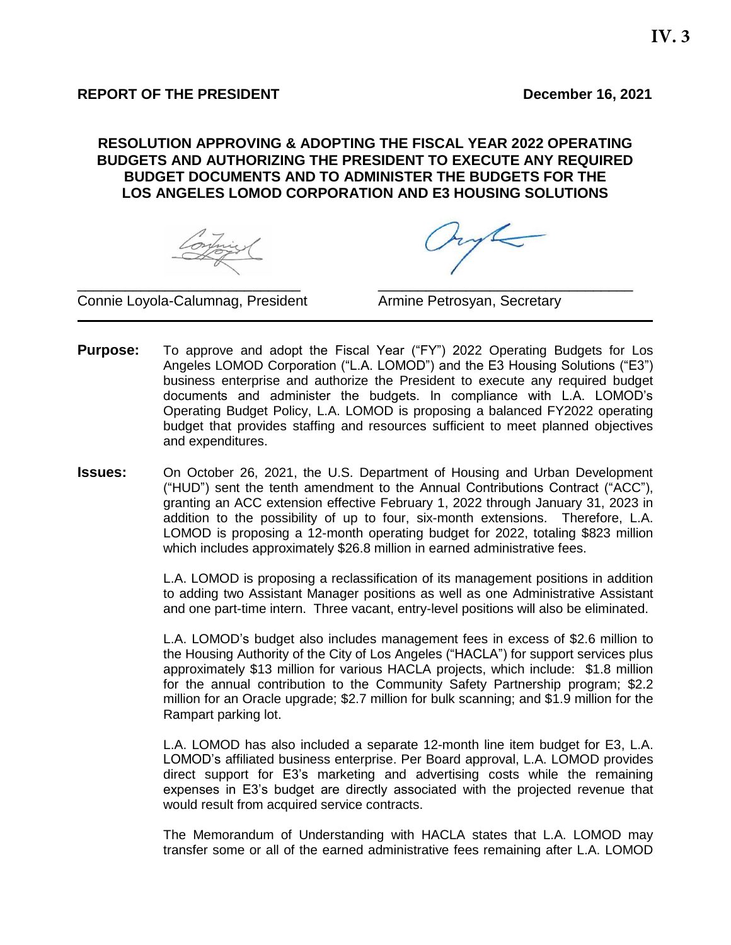### **REPORT OF THE PRESIDENT** DECEMBER 16, 2021

### **RESOLUTION APPROVING & ADOPTING THE FISCAL YEAR 2022 OPERATING BUDGETS AND AUTHORIZING THE PRESIDENT TO EXECUTE ANY REQUIRED BUDGET DOCUMENTS AND TO ADMINISTER THE BUDGETS FOR THE LOS ANGELES LOMOD CORPORATION AND E3 HOUSING SOLUTIONS**

Connie Loyola-Calumnag, President **Armine Petrosyan, Secretary** 

**Purpose:** To approve and adopt the Fiscal Year ("FY") 2022 Operating Budgets for Los Angeles LOMOD Corporation ("L.A. LOMOD") and the E3 Housing Solutions ("E3") business enterprise and authorize the President to execute any required budget documents and administer the budgets. In compliance with L.A. LOMOD's Operating Budget Policy, L.A. LOMOD is proposing a balanced FY2022 operating budget that provides staffing and resources sufficient to meet planned objectives and expenditures.

\_\_\_\_\_\_\_\_\_\_\_\_\_\_\_\_\_\_\_\_\_\_\_\_\_\_\_\_ \_\_\_\_\_\_\_\_\_\_\_\_\_\_\_\_\_\_\_\_\_\_\_\_\_\_\_\_\_\_\_\_

**Issues:** On October 26, 2021, the U.S. Department of Housing and Urban Development ("HUD") sent the tenth amendment to the Annual Contributions Contract ("ACC"), granting an ACC extension effective February 1, 2022 through January 31, 2023 in addition to the possibility of up to four, six-month extensions. Therefore, L.A. LOMOD is proposing a 12-month operating budget for 2022, totaling \$823 million which includes approximately \$26.8 million in earned administrative fees.

> L.A. LOMOD is proposing a reclassification of its management positions in addition to adding two Assistant Manager positions as well as one Administrative Assistant and one part-time intern. Three vacant, entry-level positions will also be eliminated.

> L.A. LOMOD's budget also includes management fees in excess of \$2.6 million to the Housing Authority of the City of Los Angeles ("HACLA") for support services plus approximately \$13 million for various HACLA projects, which include: \$1.8 million for the annual contribution to the Community Safety Partnership program; \$2.2 million for an Oracle upgrade; \$2.7 million for bulk scanning; and \$1.9 million for the Rampart parking lot.

> L.A. LOMOD has also included a separate 12-month line item budget for E3, L.A. LOMOD's affiliated business enterprise. Per Board approval, L.A. LOMOD provides direct support for E3's marketing and advertising costs while the remaining expenses in E3's budget are directly associated with the projected revenue that would result from acquired service contracts.

> The Memorandum of Understanding with HACLA states that L.A. LOMOD may transfer some or all of the earned administrative fees remaining after L.A. LOMOD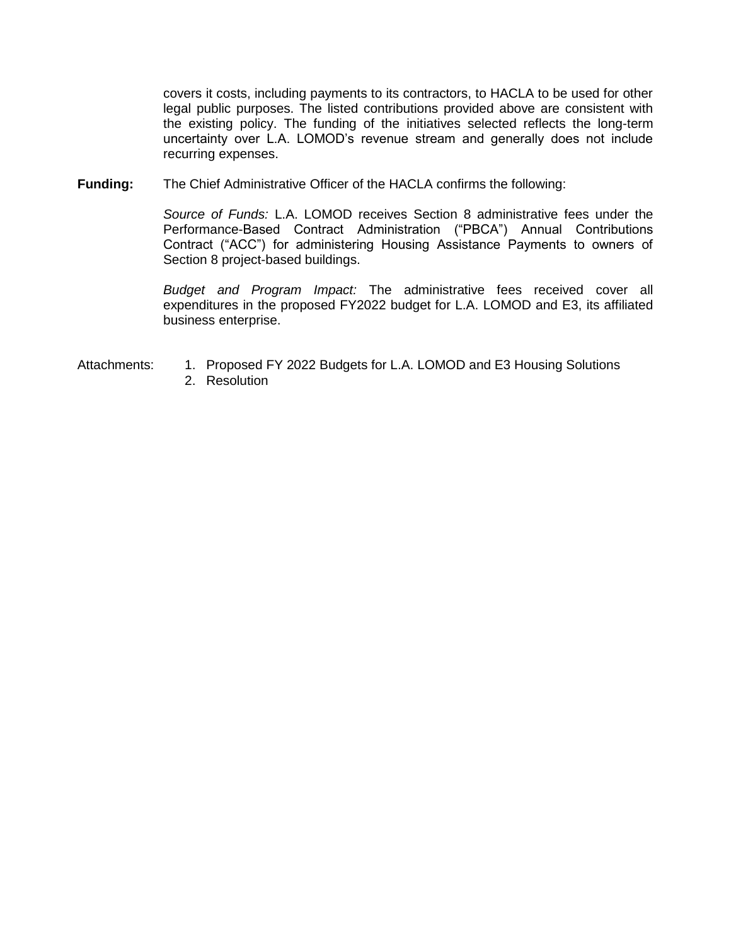covers it costs, including payments to its contractors, to HACLA to be used for other legal public purposes. The listed contributions provided above are consistent with the existing policy. The funding of the initiatives selected reflects the long-term uncertainty over L.A. LOMOD's revenue stream and generally does not include recurring expenses.

**Funding:** The Chief Administrative Officer of the HACLA confirms the following:

*Source of Funds:* L.A. LOMOD receives Section 8 administrative fees under the Performance-Based Contract Administration ("PBCA") Annual Contributions Contract ("ACC") for administering Housing Assistance Payments to owners of Section 8 project-based buildings.

*Budget and Program Impact:* The administrative fees received cover all expenditures in the proposed FY2022 budget for L.A. LOMOD and E3, its affiliated business enterprise.

- Attachments: 1. Proposed FY 2022 Budgets for L.A. LOMOD and E3 Housing Solutions
	- 2. Resolution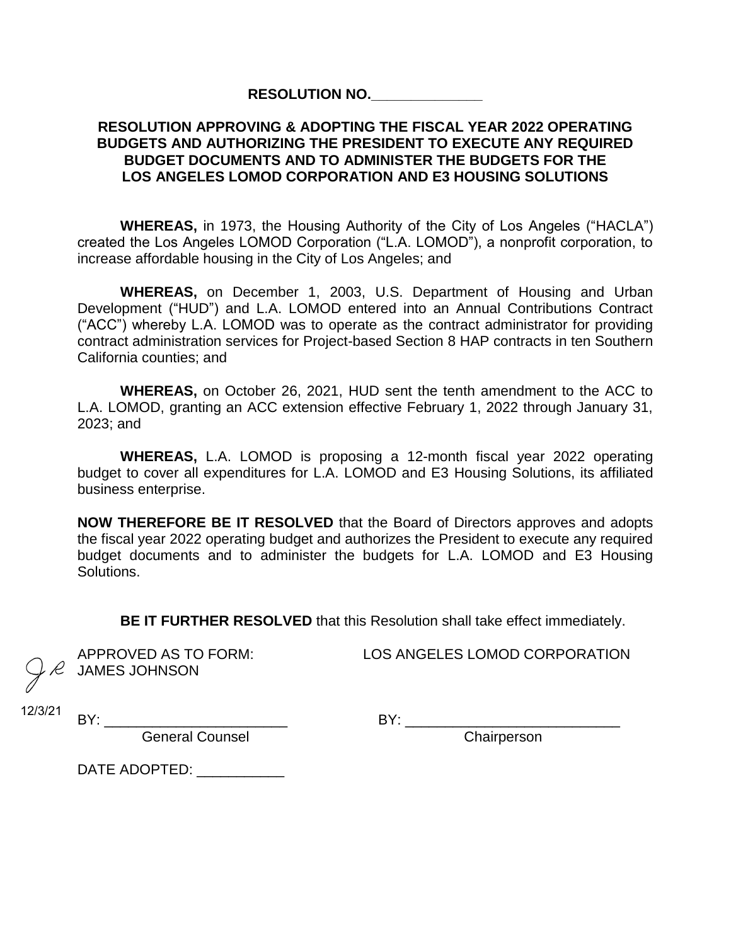### **RESOLUTION NO.\_\_\_\_\_\_\_\_\_\_\_\_\_\_**

### **RESOLUTION APPROVING & ADOPTING THE FISCAL YEAR 2022 OPERATING BUDGETS AND AUTHORIZING THE PRESIDENT TO EXECUTE ANY REQUIRED BUDGET DOCUMENTS AND TO ADMINISTER THE BUDGETS FOR THE LOS ANGELES LOMOD CORPORATION AND E3 HOUSING SOLUTIONS**

**WHEREAS,** in 1973, the Housing Authority of the City of Los Angeles ("HACLA") created the Los Angeles LOMOD Corporation ("L.A. LOMOD"), a nonprofit corporation, to increase affordable housing in the City of Los Angeles; and

**WHEREAS,** on December 1, 2003, U.S. Department of Housing and Urban Development ("HUD") and L.A. LOMOD entered into an Annual Contributions Contract ("ACC") whereby L.A. LOMOD was to operate as the contract administrator for providing contract administration services for Project-based Section 8 HAP contracts in ten Southern California counties; and

**WHEREAS,** on October 26, 2021, HUD sent the tenth amendment to the ACC to L.A. LOMOD, granting an ACC extension effective February 1, 2022 through January 31, 2023; and

**WHEREAS,** L.A. LOMOD is proposing a 12-month fiscal year 2022 operating budget to cover all expenditures for L.A. LOMOD and E3 Housing Solutions, its affiliated business enterprise.

**NOW THEREFORE BE IT RESOLVED** that the Board of Directors approves and adopts the fiscal year 2022 operating budget and authorizes the President to execute any required budget documents and to administer the budgets for L.A. LOMOD and E3 Housing Solutions.

**BE IT FURTHER RESOLVED** that this Resolution shall take effect immediately.

JAMES JOHNSON

APPROVED AS TO FORM: LOS ANGELES LOMOD CORPORATION

12/3/21

BY: \_\_\_\_\_\_\_\_\_\_\_\_\_\_\_\_\_\_\_\_\_\_\_ BY: \_\_\_\_\_\_\_\_\_\_\_\_\_\_\_\_\_\_\_\_\_\_\_\_\_\_\_ **General Counsel** 

DATE ADOPTED: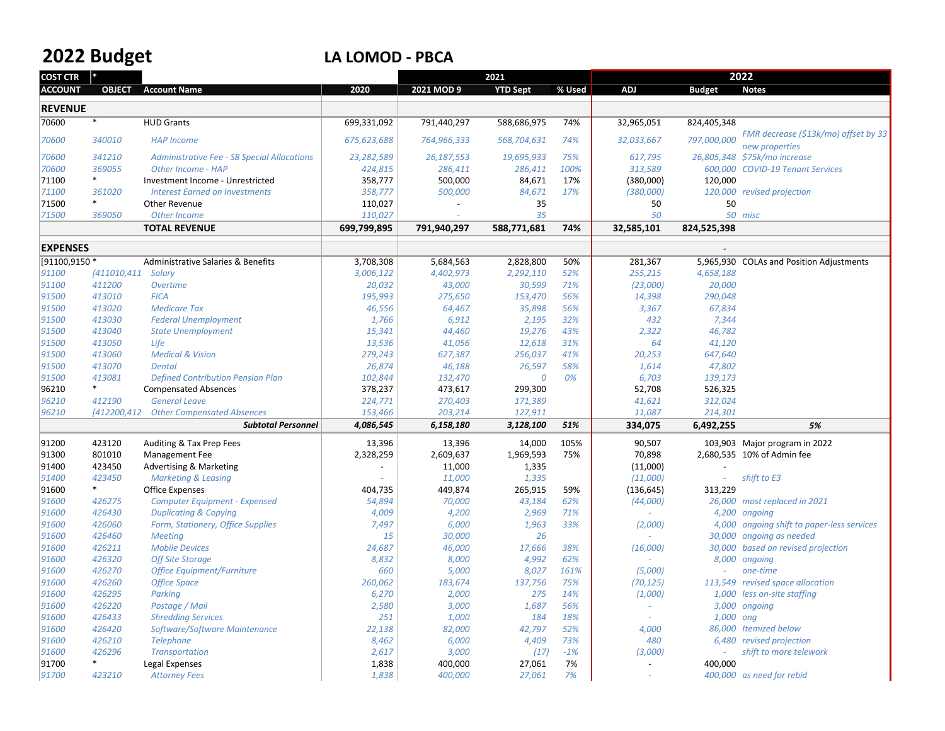# **2022**

## **Budget LA LOMOD ‐ PBCA**

| <b>COST CTR</b> |                    |                                                    |             |             | 2021            |        | 2022       |               |                                                        |
|-----------------|--------------------|----------------------------------------------------|-------------|-------------|-----------------|--------|------------|---------------|--------------------------------------------------------|
| <b>ACCOUNT</b>  | <b>OBJECT</b>      | <b>Account Name</b>                                | 2020        | 2021 MOD 9  | <b>YTD Sept</b> | % Used | <b>ADJ</b> | <b>Budget</b> | <b>Notes</b>                                           |
|                 |                    |                                                    |             |             |                 |        |            |               |                                                        |
| <b>REVENUE</b>  |                    |                                                    |             |             |                 |        |            |               |                                                        |
| 70600           | $*$                | <b>HUD Grants</b>                                  | 699,331,092 | 791,440,297 | 588,686,975     | 74%    | 32,965,051 | 824,405,348   |                                                        |
| 70600           | 340010             | <b>HAP Income</b>                                  | 675,623,688 | 764,966,333 | 568,704,631     | 74%    | 32,033,667 | 797,000,000   | FMR decrease (\$13k/mo) offset by 33<br>new properties |
| 70600           | 341210             | <b>Administrative Fee - S8 Special Allocations</b> | 23,282,589  | 26,187,553  | 19,695,933      | 75%    | 617,795    |               | 26,805,348 \$75k/mo increase                           |
| 70600           | 369055             | Other Income - HAP                                 | 424,815     | 286,411     | 286,411         | 100%   | 313,589    |               | 600,000 COVID-19 Tenant Services                       |
| 71100           | $\ast$             | Investment Income - Unrestricted                   | 358,777     | 500,000     | 84,671          | 17%    | (380,000)  | 120,000       |                                                        |
| 71100           | 361020             | <b>Interest Earned on Investments</b>              | 358,777     | 500,000     | 84,671          | 17%    | (380,000)  |               | 120,000 revised projection                             |
| 71500           | $\ast$             | <b>Other Revenue</b>                               | 110,027     |             | 35              |        | 50         | 50            |                                                        |
| 71500           | 369050             | Other Income                                       | 110,027     |             | 35              |        | 50         |               | 50 misc                                                |
|                 |                    | <b>TOTAL REVENUE</b>                               | 699,799,895 | 791,940,297 | 588,771,681     | 74%    | 32,585,101 | 824,525,398   |                                                        |
| <b>EXPENSES</b> |                    |                                                    |             |             |                 |        |            |               |                                                        |
| [91100,9150 *   |                    | Administrative Salaries & Benefits                 | 3,708,308   | 5,684,563   | 2,828,800       | 50%    | 281,367    | 5,965,930     | <b>COLAs and Position Adjustments</b>                  |
| 91100           | [411010,411 Salary |                                                    | 3,006,122   | 4,402,973   | 2,292,110       | 52%    | 255,215    | 4,658,188     |                                                        |
| 91100           | 411200             | Overtime                                           | 20,032      | 43,000      | 30,599          | 71%    | (23,000)   | 20,000        |                                                        |
| 91500           | 413010             | <b>FICA</b>                                        | 195,993     | 275,650     | 153,470         | 56%    | 14,398     | 290,048       |                                                        |
| 91500           | 413020             | <b>Medicare Tax</b>                                | 46,556      | 64,467      | 35,898          | 56%    | 3,367      | 67,834        |                                                        |
| 91500           | 413030             | <b>Federal Unemployment</b>                        | 1,766       | 6,912       | 2,195           | 32%    | 432        | 7,344         |                                                        |
| 91500           | 413040             | <b>State Unemployment</b>                          | 15,341      | 44,460      | 19,276          | 43%    | 2,322      | 46,782        |                                                        |
| 91500           | 413050             | Life                                               | 13,536      | 41,056      | 12,618          | 31%    | 64         | 41,120        |                                                        |
| 91500           | 413060             | <b>Medical &amp; Vision</b>                        | 279,243     | 627,387     | 256,037         | 41%    | 20,253     | 647,640       |                                                        |
| 91500           | 413070             | <b>Dental</b>                                      | 26,874      | 46,188      | 26,597          | 58%    | 1,614      | 47,802        |                                                        |
| 91500           | 413081             | <b>Defined Contribution Pension Plan</b>           | 102,844     | 132,470     | 0               | 0%     | 6,703      | 139,173       |                                                        |
| 96210           | $\ast$             | <b>Compensated Absences</b>                        | 378,237     | 473,617     | 299,300         |        | 52,708     | 526,325       |                                                        |
| 96210           | 412190             | <b>General Leave</b>                               | 224,771     | 270,403     | 171,389         |        | 41,621     | 312,024       |                                                        |
| 96210           | [412200,412        | <b>Other Compensated Absences</b>                  | 153,466     | 203,214     | 127,911         |        | 11,087     | 214,301       |                                                        |
|                 |                    | <b>Subtotal Personnel</b>                          | 4,086,545   | 6,158,180   | 3,128,100       | 51%    | 334,075    | 6,492,255     | 5%                                                     |
| 91200           | 423120             | Auditing & Tax Prep Fees                           | 13,396      | 13,396      | 14,000          | 105%   | 90,507     |               | 103,903 Major program in 2022                          |
| 91300           | 801010             | Management Fee                                     | 2,328,259   | 2,609,637   | 1,969,593       | 75%    | 70,898     |               | 2,680,535 10% of Admin fee                             |
| 91400           | 423450             | <b>Advertising &amp; Marketing</b>                 |             | 11,000      | 1,335           |        | (11,000)   |               |                                                        |
| 91400           | 423450             | <b>Marketing &amp; Leasing</b>                     |             | 11,000      | 1,335           |        | (11,000)   |               | shift to E3                                            |
| 91600           | $\ast$             | <b>Office Expenses</b>                             | 404,735     | 449,874     | 265,915         | 59%    | (136, 645) | 313,229       |                                                        |
| 91600           | 426275             | <b>Computer Equipment - Expensed</b>               | 54,894      | 70,000      | 43,184          | 62%    | (44,000)   |               | 26,000 most replaced in 2021                           |
| 91600           | 426430             | <b>Duplicating &amp; Copying</b>                   | 4,009       | 4,200       | 2,969           | 71%    |            |               | 4,200 ongoing                                          |
| 91600           | 426060             | Form, Stationery, Office Supplies                  | 7,497       | 6,000       | 1,963           | 33%    | (2,000)    | 4,000         | ongoing shift to paper-less services                   |
| 91600           | 426460             | <b>Meeting</b>                                     | 15          | 30,000      | 26              |        |            | 30,000        | ongoing as needed                                      |
| 91600           | 426211             | <b>Mobile Devices</b>                              | 24,687      | 46,000      | 17,666          | 38%    | (16,000)   |               | 30,000 based on revised projection                     |
| 91600           | 426320             | <b>Off Site Storage</b>                            | 8,832       | 8,000       | 4,992           | 62%    |            | 8,000         | ongoing                                                |
| 91600           | 426270             | <b>Office Equipment/Furniture</b>                  | 660         | 5,000       | 8,027           | 161%   | (5,000)    |               | one-time                                               |
| 91600           | 426260             | <b>Office Space</b>                                | 260,062     | 183,674     | 137,756         | 75%    | (70, 125)  |               | 113,549 revised space allocation                       |
| 91600           | 426295             | Parking                                            | 6,270       | 2,000       | 275             | 14%    | (1,000)    |               | 1,000 less on-site staffing                            |
| 91600           | 426220             | Postage / Mail                                     | 2,580       | 3,000       | 1.687           | 56%    |            |               | 3,000 ongoing                                          |
| 91600           | 426433             | <b>Shredding Services</b>                          | 251         | 1,000       | 184             | 18%    |            | 1,000 ong     |                                                        |
| 91600           | 426420             | Software/Software Maintenance                      | 22,138      | 82,000      | 42,797          | 52%    | 4,000      |               | 86,000 Itemized below                                  |
| 91600           | 426210             | <b>Telephone</b>                                   | 8,462       | 6,000       | 4,409           | 73%    | 480        |               | 6,480 revised projection                               |
| 91600           | 426296             | Transportation                                     | 2,617       | 3,000       | (17)            | $-1%$  | (3,000)    |               | shift to more telework                                 |
| 91700           | $\ast$             | Legal Expenses                                     | 1,838       | 400,000     | 27,061          | 7%     |            | 400,000       |                                                        |
| 91700           | 423210             | <b>Attorney Fees</b>                               | 1,838       | 400,000     | 27,061          | 7%     |            |               | 400,000 as need for rebid                              |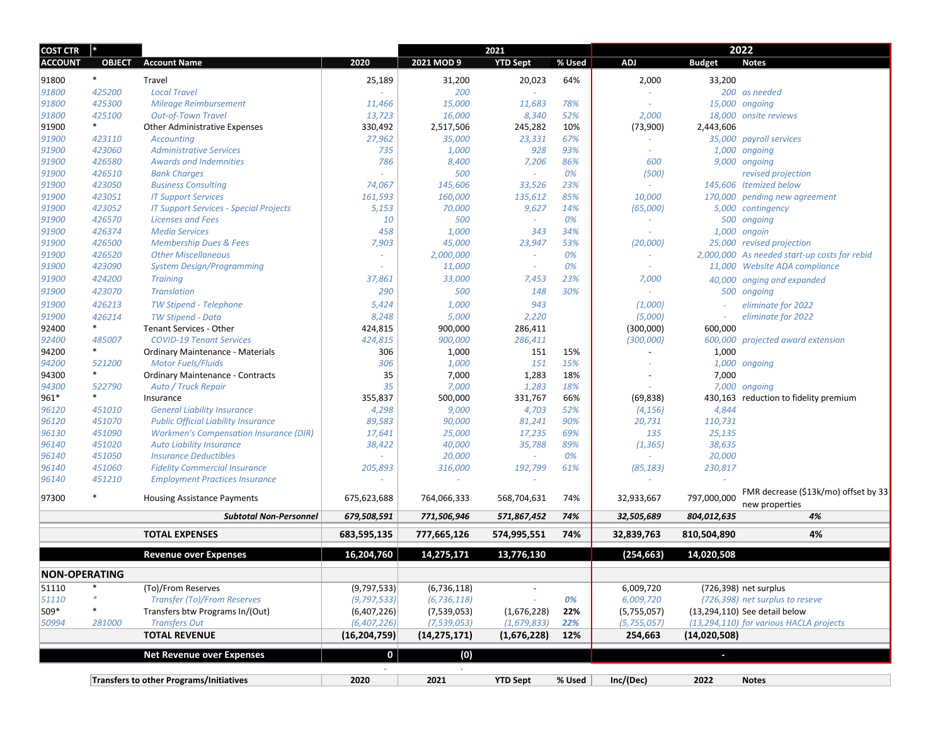| <b>COST CTR</b>      | I∗⊧           |                                                |                |                | 2021            |        | 2022          |               |                                              |
|----------------------|---------------|------------------------------------------------|----------------|----------------|-----------------|--------|---------------|---------------|----------------------------------------------|
| <b>ACCOUNT</b>       | <b>OBJECT</b> | <b>Account Name</b>                            | 2020           | 2021 MOD 9     | <b>YTD Sept</b> | % Used | ADJ           | <b>Budget</b> | <b>Notes</b>                                 |
| 91800                | $\ast$        | Travel                                         | 25,189         | 31,200         | 20,023          | 64%    | 2,000         | 33,200        |                                              |
| 91800                | 425200        | <b>Local Travel</b>                            |                | 200            |                 |        |               |               | 200 as needed                                |
| 91800                | 425300        | Mileage Reimbursement                          | 11,466         | 15,000         | 11,683          | 78%    |               |               | 15,000 ongoing                               |
| 91800                | 425100        | <b>Out-of-Town Travel</b>                      | 13,723         | 16,000         | 8,340           | 52%    | 2,000         |               | 18,000 onsite reviews                        |
| 91900                | $\ast$        | <b>Other Administrative Expenses</b>           | 330,492        | 2,517,506      | 245,282         | 10%    | (73,900)      | 2,443,606     |                                              |
| 91900                | 423110        | <b>Accounting</b>                              | 27,962         | 35,000         | 23,331          | 67%    |               |               | 35,000 payroll services                      |
| 91900                | 423060        | <b>Administrative Services</b>                 | 735            | 1,000          | 928             | 93%    |               |               | 1,000 ongoing                                |
| 91900                | 426580        | <b>Awards and Indemnities</b>                  | 786            | 8,400          | 7,206           | 86%    | 600           |               | 9,000 ongoing                                |
| 91900                | 426510        | <b>Bank Charges</b>                            |                | 500            |                 | 0%     | (500)         |               | revised projection                           |
| 91900                | 423050        | <b>Business Consulting</b>                     | 74,067         | 145,606        | 33,526          | 23%    |               |               | 145,606 Itemized below                       |
| 91900                | 423051        | <b>IT Support Services</b>                     | 161,593        | 160,000        | 135,612         | 85%    | 10,000        |               | 170,000 pending new agreement                |
| 91900                | 423052        | <b>IT Support Services - Special Projects</b>  | 5,153          | 70,000         | 9,627           | 14%    | (65,000)      |               | 5,000 contingency                            |
| 91900                | 426570        | <b>Licenses and Fees</b>                       | 10             | 500            | ٠               | 0%     |               |               | 500 ongoing                                  |
| 91900                | 426374        | <b>Media Services</b>                          | 458            | 1,000          | 343             | 34%    |               | 1,000         | ongoin                                       |
| 91900                | 426500        | <b>Membership Dues &amp; Fees</b>              | 7,903          | 45,000         | 23,947          | 53%    | (20,000)      |               | 25,000 revised projection                    |
| 91900                | 426520        | <b>Other Miscellaneous</b>                     |                | 2,000,000      | $\sim$          | 0%     |               |               | 2,000,000 As needed start-up costs for rebid |
| 91900                | 423090        | <b>System Design/Programming</b>               | $\sim$         | 11,000         | $\sim$          | 0%     | $\sim$        |               | 11,000 Website ADA compliance                |
| 91900                | 424200        | <b>Training</b>                                | 37,861         | 33,000         | 7,453           | 23%    | 7,000         | 40,000        | onging and expanded                          |
| 91900                | 423070        | <b>Translation</b>                             | 290            | 500            | 148             | 30%    |               |               | 500 ongoing                                  |
| 91900                | 426213        | TW Stipend - Telephone                         | 5,424          | 1,000          | 943             |        | (1,000)       |               | eliminate for 2022                           |
| 91900                | 426214        | <b>TW Stipend - Data</b>                       | 8,248          | 5,000          | 2,220           |        | (5,000)       |               | eliminate for 2022                           |
| 92400                | $\ast$        | Tenant Services - Other                        | 424,815        | 900,000        | 286,411         |        | (300,000)     | 600,000       |                                              |
| 92400                | 485007        | <b>COVID-19 Tenant Services</b>                | 424,815        | 900,000        | 286,411         |        | (300,000)     |               | 600,000 projected award extension            |
| 94200                | $\ast$        | Ordinary Maintenance - Materials               | 306            | 1,000          | 151             | 15%    |               | 1,000         |                                              |
| 94200                | 521200        | <b>Motor Fuels/Fluids</b>                      | 306            | 1,000          | 151             | 15%    |               |               | 1,000 ongoing                                |
| 94300                | $\ast$        | <b>Ordinary Maintenance - Contracts</b>        | 35             | 7,000          | 1,283           | 18%    |               | 7,000         |                                              |
| 94300                | 522790        | Auto / Truck Repair                            | 35             | 7,000          | 1,283           | 18%    |               |               | 7,000 ongoing                                |
| 961*                 | $\ast$        | Insurance                                      | 355,837        | 500,000        | 331,767         | 66%    | (69, 838)     |               | 430,163 reduction to fidelity premium        |
| 96120                | 451010        | <b>General Liability Insurance</b>             | 4,298          | 9,000          | 4,703           | 52%    | (4, 156)      | 4,844         |                                              |
| 96120                | 451070        | <b>Public Official Liability Insurance</b>     | 89,583         | 90,000         | 81,241          | 90%    | 20,731        | 110,731       |                                              |
| 96130                | 451090        | <b>Workmen's Compensation Insurance (DIR)</b>  | 17,641         | 25,000         | 17,235          | 69%    | 135           | 25,135        |                                              |
| 96140                | 451020        | <b>Auto Liability Insurance</b>                | 38,422         | 40,000         | 35,788          | 89%    | (1, 365)      | 38,635        |                                              |
| 96140                | 451050        | <b>Insurance Deductibles</b>                   |                | 20,000         | ٠               | 0%     |               | 20,000        |                                              |
| 96140                | 451060        | <b>Fidelity Commercial Insurance</b>           | 205,893        | 316,000        | 192,799         | 61%    | (85, 183)     | 230,817       |                                              |
| 96140                | 451210        | <b>Employment Practices Insurance</b>          |                | $\omega$       |                 |        |               |               |                                              |
|                      |               |                                                |                |                |                 |        |               |               | FMR decrease (\$13k/mo) offset by 33         |
| 97300                |               | <b>Housing Assistance Payments</b>             | 675,623,688    | 764,066,333    | 568,704,631     | 74%    | 32,933,667    | 797,000,000   | new properties                               |
|                      |               | <b>Subtotal Non-Personnel</b>                  | 679,508,591    | 771,506,946    | 571,867,452     | 74%    | 32,505,689    | 804,012,635   | 4%                                           |
|                      |               | <b>TOTAL EXPENSES</b>                          | 683,595,135    | 777,665,126    | 574,995,551     | 74%    | 32,839,763    | 810,504,890   | 4%                                           |
|                      |               |                                                | 16,204,760     | 14,275,171     | 13,776,130      |        | (254, 663)    | 14,020,508    |                                              |
|                      |               | <b>Revenue over Expenses</b>                   |                |                |                 |        |               |               |                                              |
| <b>NON-OPERATING</b> |               |                                                |                |                |                 |        |               |               |                                              |
| 51110                | ∗             | (To)/From Reserves                             | (9,797,533)    | (6,736,118)    |                 |        | 6,009,720     |               | (726,398) net surplus                        |
| 51110                |               | <b>Transfer (To)/From Reserves</b>             | (9, 797, 533)  | (6, 736, 118)  |                 | 0%     | 6,009,720     |               | (726,398) net surplus to reseve              |
| 509*                 |               | Transfers btw Programs In/(Out)                | (6,407,226)    | (7,539,053)    | (1,676,228)     | 22%    | (5,755,057)   |               | (13,294,110) See detail below                |
| 50994                | 281000        | <b>Transfers Out</b>                           | (6,407,226)    | (7, 539, 053)  | (1, 679, 833)   | 22%    | (5, 755, 057) |               | (13,294,110) for various HACLA projects      |
|                      |               | <b>TOTAL REVENUE</b>                           | (16, 204, 759) | (14, 275, 171) | (1,676,228)     | 12%    | 254,663       | (14,020,508)  |                                              |
|                      |               | <b>Net Revenue over Expenses</b>               | 0              | (0)            |                 |        |               | $\sim$        |                                              |
|                      |               |                                                |                |                |                 |        |               |               |                                              |
|                      |               | <b>Transfers to other Programs/Initiatives</b> | 2020           | 2021           | <b>YTD Sept</b> | % Used | Inc/(Dec)     | 2022          | <b>Notes</b>                                 |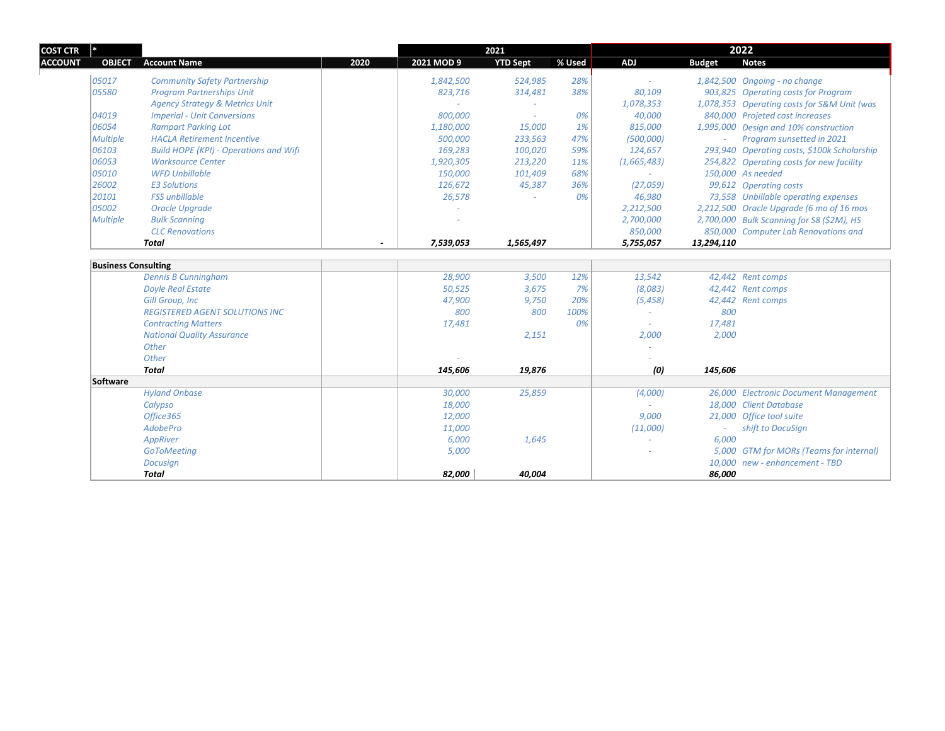| ∣∗              |                                               |      |            | 2021            |        | 2022        |               |                                             |
|-----------------|-----------------------------------------------|------|------------|-----------------|--------|-------------|---------------|---------------------------------------------|
| <b>OBJECT</b>   | <b>Account Name</b>                           | 2020 | 2021 MOD 9 | <b>YTD Sept</b> | % Used | ADJ         | <b>Budget</b> | <b>Notes</b>                                |
| 05017           | <b>Community Safety Partnership</b>           |      | 1,842,500  | 524,985         | 28%    |             |               | 1,842,500 Ongoing - no change               |
| 05580           | <b>Program Partnerships Unit</b>              |      | 823,716    | 314,481         | 38%    | 80,109      |               | 903,825 Operating costs for Program         |
|                 | <b>Agency Strategy &amp; Metrics Unit</b>     |      |            |                 |        | 1,078,353   |               | 1,078,353 Operating costs for S&M Unit (was |
| 04019           | <b>Imperial - Unit Conversions</b>            |      | 800,000    | $\sim$          | 0%     | 40,000      |               | 840,000 Projeted cost increases             |
| 06054           | <b>Rampart Parking Lot</b>                    |      | 1,180,000  | 15,000          | 1%     | 815,000     |               | 1,995,000 Design and 10% construction       |
| <b>Multiple</b> | <b>HACLA Retirement Incentive</b>             |      | 500,000    | 233,563         | 47%    | (500,000)   | $\sim$        | Program sunsetted in 2021                   |
| 06103           | <b>Build HOPE (KPI) - Operations and Wifi</b> |      | 169,283    | 100,020         | 59%    | 124,657     |               | 293,940 Operating costs, \$100k Scholarship |
| 06053           | <b>Worksource Center</b>                      |      | 1,920,305  | 213,220         | 11%    | (1,665,483) |               | 254,822 Operating costs for new facility    |
| 05010           | <b>WFD Unbillable</b>                         |      | 150,000    | 101,409         | 68%    |             |               | 150,000 As needed                           |
| 26002           | <b>E3 Solutions</b>                           |      | 126,672    | 45,387          | 36%    | (27,059)    |               | 99,612 Operating costs                      |
| 20101           | <b>FSS</b> unbillable                         |      | 26,578     |                 | 0%     | 46,980      |               | 73,558 Unbillable operating expenses        |
| 05002           | Oracle Upgrade                                |      |            |                 |        | 2,212,500   |               | 2,212,500 Oracle Upgrade (6 mo of 16 mos    |
| <b>Multiple</b> | <b>Bulk Scanning</b>                          |      |            |                 |        | 2,700,000   |               | 2,700,000 Bulk Scanning for S8 (\$2M), HS   |
|                 | <b>CLC</b> Renovations                        |      |            |                 |        | 850,000     |               | 850,000 Computer Lab Renovations and        |
|                 | <b>Total</b>                                  |      | 7,539,053  | 1,565,497       |        | 5,755,057   | 13,294,110    |                                             |
|                 |                                               |      |            |                 |        |             |               |                                             |
|                 | <b>Business Consulting</b>                    |      |            |                 |        |             |               |                                             |
|                 | <b>Dennis B Cunningham</b>                    |      | 28,900     | 3,500           | 12%    | 13,542      |               | 42,442 Rent comps                           |
|                 | <b>Doyle Real Estate</b>                      |      | 50,525     | 3,675           | 7%     | (8,083)     |               | 42,442 Rent comps                           |
|                 | <b>Gill Group, Inc.</b>                       |      | 47,900     | 9,750           | 20%    | (5, 458)    |               | 42,442 Rent comps                           |
|                 | <b>REGISTERED AGENT SOLUTIONS INC</b>         |      | 800        | 800             | 100%   |             | 800           |                                             |
|                 | <b>Contracting Matters</b>                    |      | 17,481     |                 | 0%     |             | 17,481        |                                             |
|                 | <b>National Quality Assurance</b>             |      |            | 2,151           |        | 2,000       | 2,000         |                                             |
|                 | Other                                         |      |            |                 |        |             |               |                                             |
|                 | Other                                         |      |            |                 |        |             |               |                                             |
|                 | <b>Total</b>                                  |      | 145,606    | 19,876          |        | (0)         | 145,606       |                                             |
| Software        |                                               |      |            |                 |        |             |               |                                             |
|                 | <b>Hyland Onbase</b>                          |      | 30,000     | 25,859          |        | (4,000)     |               | 26,000 Electronic Document Management       |
|                 | Calypso                                       |      | 18,000     |                 |        |             |               | 18,000 Client Database                      |
|                 | Office365                                     |      | 12,000     |                 |        | 9,000       |               | 21,000 Office tool suite                    |
|                 | AdobePro                                      |      | 11,000     |                 |        | (11,000)    |               | shift to DocuSign                           |
|                 | AppRiver                                      |      | 6,000      | 1,645           |        |             | 6,000         |                                             |
|                 | GoToMeeting                                   |      | 5,000      |                 |        |             |               | 5,000 GTM for MORs (Teams for internal)     |
|                 | Docusign                                      |      |            |                 |        |             |               | 10,000 new - enhancement - TBD              |
|                 | Total                                         |      | 82,000     | 40.004          |        |             | 86,000        |                                             |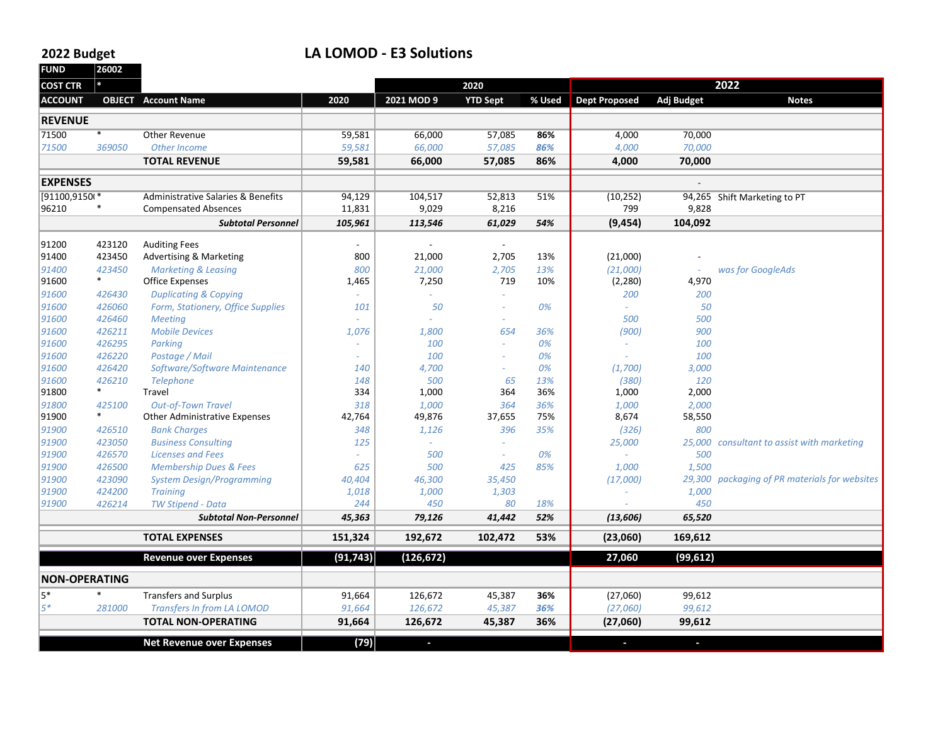#### **2022**

### **Budget LA LOMOD ‐ E3 Solutions**

**FUND 26002COST CTR \*ACCOUNT OBJECT Account Name 2020 2021**2021 MOD 9 **9 YTD Sept % Used Dept Proposed Adj Budget Notes REVENUE**71500 \* Other Revenue Revenue 59,581 66,000 57,085 **86%** 4,000 70,000 *71500 369050 Other Income 59,581 66,000 57,085 86% 4,000 70,000* **TOTAL REVENUE 59,581 66,000 57,085 86% 4,000 70,000 EXPENSES** ‐ [91100,91500\* Administrative Salaries & Benefits 94,129 104,517 52,813 51% (10,252) 94,265 Shift Marketing to PT Compensated Absences 11,831 9,029 8,216 799 9,828 *Subtotal Personnel 105,961 113,546 61,029 54%* **(9,454) 104,092**  $91200$  423120 Auditing Fees  $\overline{\phantom{a}}$   $\overline{\phantom{a}}$   $\overline{\phantom{a}}$   $\overline{\phantom{a}}$   $\overline{\phantom{a}}$   $\overline{\phantom{a}}$   $\overline{\phantom{a}}$   $\overline{\phantom{a}}$   $\overline{\phantom{a}}$   $\overline{\phantom{a}}$   $\overline{\phantom{a}}$   $\overline{\phantom{a}}$   $\overline{\phantom{a}}$   $\overline{\phantom{a}}$   $\overline{\phantom{a}}$   $\overline{\phantom{a}}$  91400 423450 Advertising & Marketing 800 21,000 2,705 13% (21,000) ‐ *91400 423450 Marketing & Leasing 800 21,000 2,705 13% (21,000) ‐ was for GoogleAds* 91600 \* Officee Expenses 1,465 | 7,250 719 10% (2,280) 4,970 *91600 426430 Duplicating & Copying ‐ ‐ ‐ 200 200 91600 426060 Form, Stationery, Office Supplies 101 ‐ 50 0% ‐ 50 91600 426460 Meeting ‐ ‐ ‐ 500 500 91600 426211 Mobile Devices 1,076 1,800 654 36% (900) 900 91600 426295 Parking ‐ ‐ 100 0% ‐ 100 91600 426220 Postage / Mail ‐ ‐ 100 0% ‐ 100 91600 426420 Software/Software Maintenance 140 ‐ 4,700 0% (1,700) 3,000 91600 426210 Telephone 148 500 65 13% (380) 120* 91800 \* Travel 334 1,000 364 36% 1,000 2,000 *91800 425100 Out‐of‐Town Travel 318 1,000 364 36% 1,000 2,000* 91900 \* Other Administrativee Expenses | 42,764 | 49,876 37,655 75% **|** 8,674 58,550 *91900 426510 Bank Charges 348 1,126 396 35% (326) 800 91900 423050 Business Consulting 125 ‐ ‐ 25,000 25,000 consultant to assist with marketing 91900 426570 Licenses and Fees ‐ ‐ 500 0% ‐ 500 91900 426500 Membership Dues & Fees 625 500 425 85% 1,000 1,500 91900 423090 System Design/Programming 40,404 46,300 35,450 (17,000) 29,300 packaging of PR materials for websites 91900 424200 Training 1,018 1,000 ‐ 1,303 1,000 91900* $426214$  *Stipend ‐ Data 244 450 80 18% ‐ 450 Subtotal Non‐Personnel 45,363 79,126 41,442 52% (13,606) 65,520* **TOTAL EXPENSES EXPENSES 151,324 192,672 102,472 53% (23,060) 169,612 Revenue over Expenses (91,743) (126,672) 27,060 (99,612) NON‐OPERATING**5\* \* Transfers and Surplus 91,664 126,672 45,387 **36%** (27,060) 99,612 *5\* 281000 Transfers In from LA LOMOD 91,664 126,672 45,387 36% (27,060) 99,612* **TOTAL NON‐OPERATING 91,664 126,672 45,387 36% (27,060) 99,612 Net Revenue over Expenses (79) ‐ ‐ ‐ 20202022**